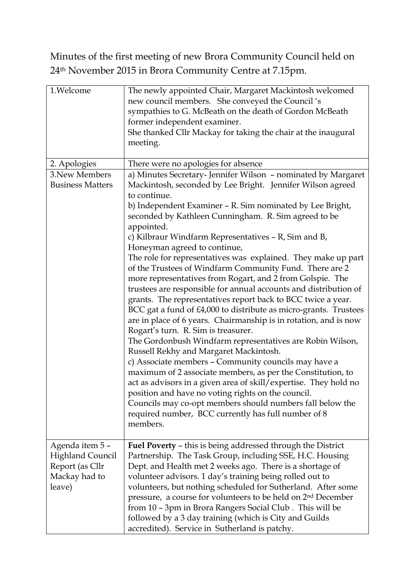Minutes of the first meeting of new Brora Community Council held on 24th November 2015 in Brora Community Centre at 7.15pm.

| 1.Welcome                                                                               | The newly appointed Chair, Margaret Mackintosh welcomed<br>new council members. She conveyed the Council's<br>sympathies to G. McBeath on the death of Gordon McBeath<br>former independent examiner.<br>She thanked Cllr Mackay for taking the chair at the inaugural<br>meeting.                                                                                                                                                                                                                                                                                                                                                                                                                                                                                                                                                                                                                                                                                                                                               |
|-----------------------------------------------------------------------------------------|----------------------------------------------------------------------------------------------------------------------------------------------------------------------------------------------------------------------------------------------------------------------------------------------------------------------------------------------------------------------------------------------------------------------------------------------------------------------------------------------------------------------------------------------------------------------------------------------------------------------------------------------------------------------------------------------------------------------------------------------------------------------------------------------------------------------------------------------------------------------------------------------------------------------------------------------------------------------------------------------------------------------------------|
| 2. Apologies                                                                            | There were no apologies for absence                                                                                                                                                                                                                                                                                                                                                                                                                                                                                                                                                                                                                                                                                                                                                                                                                                                                                                                                                                                              |
| 3. New Members                                                                          | a) Minutes Secretary-Jennifer Wilson - nominated by Margaret                                                                                                                                                                                                                                                                                                                                                                                                                                                                                                                                                                                                                                                                                                                                                                                                                                                                                                                                                                     |
| <b>Business Matters</b>                                                                 | Mackintosh, seconded by Lee Bright. Jennifer Wilson agreed<br>to continue.                                                                                                                                                                                                                                                                                                                                                                                                                                                                                                                                                                                                                                                                                                                                                                                                                                                                                                                                                       |
|                                                                                         | b) Independent Examiner – R. Sim nominated by Lee Bright,<br>seconded by Kathleen Cunningham. R. Sim agreed to be<br>appointed.                                                                                                                                                                                                                                                                                                                                                                                                                                                                                                                                                                                                                                                                                                                                                                                                                                                                                                  |
|                                                                                         | c) Kilbraur Windfarm Representatives - R, Sim and B,                                                                                                                                                                                                                                                                                                                                                                                                                                                                                                                                                                                                                                                                                                                                                                                                                                                                                                                                                                             |
|                                                                                         | Honeyman agreed to continue,<br>The role for representatives was explained. They make up part<br>of the Trustees of Windfarm Community Fund. There are 2<br>more representatives from Rogart, and 2 from Golspie. The<br>trustees are responsible for annual accounts and distribution of<br>grants. The representatives report back to BCC twice a year.<br>BCC gat a fund of £4,000 to distribute as micro-grants. Trustees<br>are in place of 6 years. Chairmanship is in rotation, and is now<br>Rogart's turn. R. Sim is treasurer.<br>The Gordonbush Windfarm representatives are Robin Wilson,<br>Russell Rekhy and Margaret Mackintosh.<br>c) Associate members - Community councils may have a<br>maximum of 2 associate members, as per the Constitution, to<br>act as advisors in a given area of skill/expertise. They hold no<br>position and have no voting rights on the council.<br>Councils may co-opt members should numbers fall below the<br>required number, BCC currently has full number of 8<br>members. |
| Agenda item 5-<br><b>Highland Council</b><br>Report (as Cllr<br>Mackay had to<br>leave) | <b>Fuel Poverty - this is being addressed through the District</b><br>Partnership. The Task Group, including SSE, H.C. Housing<br>Dept. and Health met 2 weeks ago. There is a shortage of<br>volunteer advisors. 1 day's training being rolled out to<br>volunteers, but nothing scheduled for Sutherland. After some<br>pressure, a course for volunteers to be held on 2 <sup>nd</sup> December<br>from 10 - 3pm in Brora Rangers Social Club. This will be<br>followed by a 3 day training (which is City and Guilds<br>accredited). Service in Sutherland is patchy.                                                                                                                                                                                                                                                                                                                                                                                                                                                        |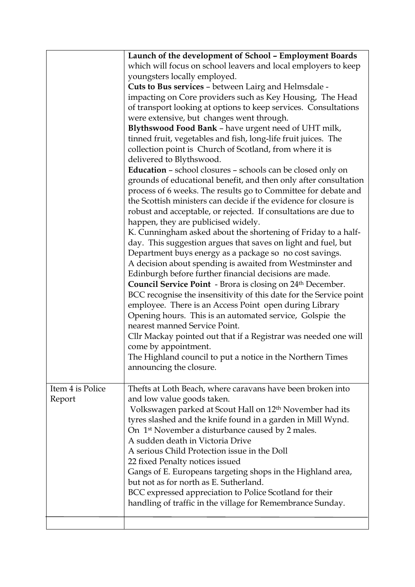|                  | Launch of the development of School - Employment Boards                                                                                                                                                |
|------------------|--------------------------------------------------------------------------------------------------------------------------------------------------------------------------------------------------------|
|                  | which will focus on school leavers and local employers to keep                                                                                                                                         |
|                  | youngsters locally employed.                                                                                                                                                                           |
|                  | Cuts to Bus services - between Lairg and Helmsdale -                                                                                                                                                   |
|                  | impacting on Core providers such as Key Housing, The Head                                                                                                                                              |
|                  | of transport looking at options to keep services. Consultations                                                                                                                                        |
|                  | were extensive, but changes went through.                                                                                                                                                              |
|                  | Blythswood Food Bank - have urgent need of UHT milk,                                                                                                                                                   |
|                  | tinned fruit, vegetables and fish, long-life fruit juices. The                                                                                                                                         |
|                  | collection point is Church of Scotland, from where it is                                                                                                                                               |
|                  | delivered to Blythswood.                                                                                                                                                                               |
|                  | <b>Education</b> - school closures - schools can be closed only on                                                                                                                                     |
|                  | grounds of educational benefit, and then only after consultation<br>process of 6 weeks. The results go to Committee for debate and<br>the Scottish ministers can decide if the evidence for closure is |
|                  | robust and acceptable, or rejected. If consultations are due to<br>happen, they are publicised widely.                                                                                                 |
|                  | K. Cunningham asked about the shortening of Friday to a half-                                                                                                                                          |
|                  | day. This suggestion argues that saves on light and fuel, but                                                                                                                                          |
|                  | Department buys energy as a package so no cost savings.                                                                                                                                                |
|                  | A decision about spending is awaited from Westminster and                                                                                                                                              |
|                  | Edinburgh before further financial decisions are made.                                                                                                                                                 |
|                  | Council Service Point - Brora is closing on 24th December.                                                                                                                                             |
|                  | BCC recognise the insensitivity of this date for the Service point                                                                                                                                     |
|                  | employee. There is an Access Point open during Library                                                                                                                                                 |
|                  | Opening hours. This is an automated service, Golspie the                                                                                                                                               |
|                  | nearest manned Service Point.                                                                                                                                                                          |
|                  | Cllr Mackay pointed out that if a Registrar was needed one will                                                                                                                                        |
|                  | come by appointment.                                                                                                                                                                                   |
|                  | The Highland council to put a notice in the Northern Times                                                                                                                                             |
|                  | announcing the closure.                                                                                                                                                                                |
|                  |                                                                                                                                                                                                        |
| Item 4 is Police | Thefts at Loth Beach, where caravans have been broken into                                                                                                                                             |
| Report           | and low value goods taken.                                                                                                                                                                             |
|                  | Volkswagen parked at Scout Hall on 12 <sup>th</sup> November had its                                                                                                                                   |
|                  | tyres slashed and the knife found in a garden in Mill Wynd.                                                                                                                                            |
|                  | On 1 <sup>st</sup> November a disturbance caused by 2 males.                                                                                                                                           |
|                  | A sudden death in Victoria Drive                                                                                                                                                                       |
|                  | A serious Child Protection issue in the Doll                                                                                                                                                           |
|                  | 22 fixed Penalty notices issued                                                                                                                                                                        |
|                  | Gangs of E. Europeans targeting shops in the Highland area,                                                                                                                                            |
|                  | but not as for north as E. Sutherland.                                                                                                                                                                 |
|                  | BCC expressed appreciation to Police Scotland for their                                                                                                                                                |
|                  | handling of traffic in the village for Remembrance Sunday.                                                                                                                                             |
|                  |                                                                                                                                                                                                        |
|                  |                                                                                                                                                                                                        |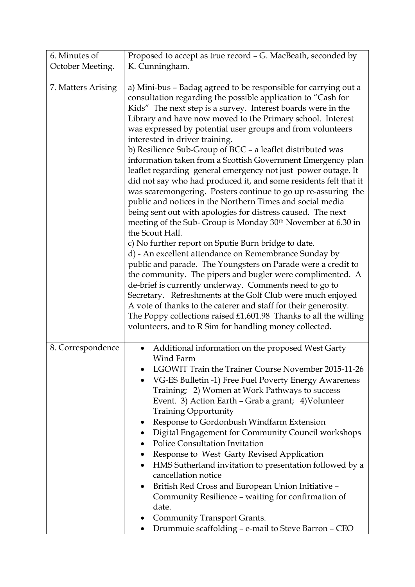| 6. Minutes of      | Proposed to accept as true record - G. MacBeath, seconded by                                                                                                                                                                                                                                                                                                                                                                                                                                                                                                                                                                                                                                                                                                                                                                                                                                                                                                                                                                                                                                                                                                                                                                                                                                                                                                                                                                                                                           |
|--------------------|----------------------------------------------------------------------------------------------------------------------------------------------------------------------------------------------------------------------------------------------------------------------------------------------------------------------------------------------------------------------------------------------------------------------------------------------------------------------------------------------------------------------------------------------------------------------------------------------------------------------------------------------------------------------------------------------------------------------------------------------------------------------------------------------------------------------------------------------------------------------------------------------------------------------------------------------------------------------------------------------------------------------------------------------------------------------------------------------------------------------------------------------------------------------------------------------------------------------------------------------------------------------------------------------------------------------------------------------------------------------------------------------------------------------------------------------------------------------------------------|
| October Meeting.   | K. Cunningham.                                                                                                                                                                                                                                                                                                                                                                                                                                                                                                                                                                                                                                                                                                                                                                                                                                                                                                                                                                                                                                                                                                                                                                                                                                                                                                                                                                                                                                                                         |
|                    |                                                                                                                                                                                                                                                                                                                                                                                                                                                                                                                                                                                                                                                                                                                                                                                                                                                                                                                                                                                                                                                                                                                                                                                                                                                                                                                                                                                                                                                                                        |
| 7. Matters Arising | a) Mini-bus - Badag agreed to be responsible for carrying out a<br>consultation regarding the possible application to "Cash for<br>Kids" The next step is a survey. Interest boards were in the<br>Library and have now moved to the Primary school. Interest<br>was expressed by potential user groups and from volunteers<br>interested in driver training.<br>b) Resilience Sub-Group of BCC - a leaflet distributed was<br>information taken from a Scottish Government Emergency plan<br>leaflet regarding general emergency not just power outage. It<br>did not say who had produced it, and some residents felt that it<br>was scaremongering. Posters continue to go up re-assuring the<br>public and notices in the Northern Times and social media<br>being sent out with apologies for distress caused. The next<br>meeting of the Sub-Group is Monday 30th November at 6.30 in<br>the Scout Hall.<br>c) No further report on Sputie Burn bridge to date.<br>d) - An excellent attendance on Remembrance Sunday by<br>public and parade. The Youngsters on Parade were a credit to<br>the community. The pipers and bugler were complimented. A<br>de-brief is currently underway. Comments need to go to<br>Secretary. Refreshments at the Golf Club were much enjoyed<br>A vote of thanks to the caterer and staff for their generosity.<br>The Poppy collections raised $£1,601.98$ Thanks to all the willing<br>volunteers, and to R Sim for handling money collected. |
| 8. Correspondence  | Additional information on the proposed West Garty<br>$\bullet$<br>Wind Farm<br>LGOWIT Train the Trainer Course November 2015-11-26<br>٠<br>VG-ES Bulletin -1) Free Fuel Poverty Energy Awareness<br>Training; 2) Women at Work Pathways to success<br>Event. 3) Action Earth - Grab a grant; 4) Volunteer<br><b>Training Opportunity</b><br>Response to Gordonbush Windfarm Extension<br>• Digital Engagement for Community Council workshops<br><b>Police Consultation Invitation</b><br>Response to West Garty Revised Application<br>HMS Sutherland invitation to presentation followed by a<br>$\bullet$<br>cancellation notice<br>British Red Cross and European Union Initiative -<br>$\bullet$<br>Community Resilience - waiting for confirmation of<br>date.<br>Community Transport Grants.<br>Drummuie scaffolding - e-mail to Steve Barron - CEO                                                                                                                                                                                                                                                                                                                                                                                                                                                                                                                                                                                                                             |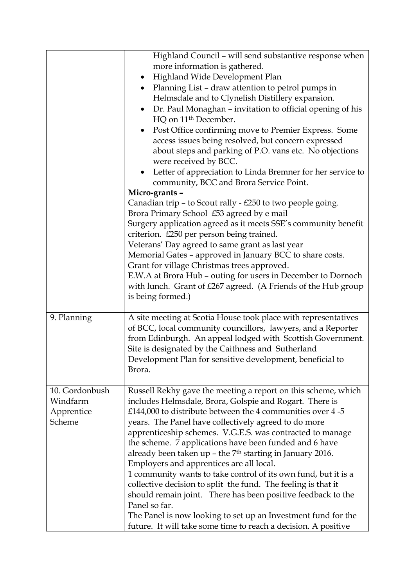|                                                    | Highland Council - will send substantive response when<br>more information is gathered.<br>Highland Wide Development Plan<br>$\bullet$<br>Planning List - draw attention to petrol pumps in<br>Helmsdale and to Clynelish Distillery expansion.<br>Dr. Paul Monaghan - invitation to official opening of his<br>HQ on 11 <sup>th</sup> December.<br>Post Office confirming move to Premier Express. Some<br>$\bullet$<br>access issues being resolved, but concern expressed<br>about steps and parking of P.O. vans etc. No objections<br>were received by BCC.<br>Letter of appreciation to Linda Bremner for her service to<br>community, BCC and Brora Service Point.<br>Micro-grants -<br>Canadian trip - to Scout rally - $£250$ to two people going.                                                                                |
|----------------------------------------------------|--------------------------------------------------------------------------------------------------------------------------------------------------------------------------------------------------------------------------------------------------------------------------------------------------------------------------------------------------------------------------------------------------------------------------------------------------------------------------------------------------------------------------------------------------------------------------------------------------------------------------------------------------------------------------------------------------------------------------------------------------------------------------------------------------------------------------------------------|
|                                                    | Brora Primary School £53 agreed by e mail<br>Surgery application agreed as it meets SSE's community benefit<br>criterion. £250 per person being trained.<br>Veterans' Day agreed to same grant as last year<br>Memorial Gates - approved in January BCC to share costs.<br>Grant for village Christmas trees approved.<br>E.W.A at Brora Hub - outing for users in December to Dornoch<br>with lunch. Grant of £267 agreed. (A Friends of the Hub group<br>is being formed.)                                                                                                                                                                                                                                                                                                                                                               |
| 9. Planning                                        | A site meeting at Scotia House took place with representatives<br>of BCC, local community councillors, lawyers, and a Reporter<br>from Edinburgh. An appeal lodged with Scottish Government.<br>Site is designated by the Caithness and Sutherland<br>Development Plan for sensitive development, beneficial to<br>Brora.                                                                                                                                                                                                                                                                                                                                                                                                                                                                                                                  |
| 10. Gordonbush<br>Windfarm<br>Apprentice<br>Scheme | Russell Rekhy gave the meeting a report on this scheme, which<br>includes Helmsdale, Brora, Golspie and Rogart. There is<br>£144,000 to distribute between the 4 communities over $4-5$<br>years. The Panel have collectively agreed to do more<br>apprenticeship schemes. V.G.E.S. was contracted to manage<br>the scheme. 7 applications have been funded and 6 have<br>already been taken up $-$ the $7th$ starting in January 2016.<br>Employers and apprentices are all local.<br>1 community wants to take control of its own fund, but it is a<br>collective decision to split the fund. The feeling is that it<br>should remain joint. There has been positive feedback to the<br>Panel so far.<br>The Panel is now looking to set up an Investment fund for the<br>future. It will take some time to reach a decision. A positive |